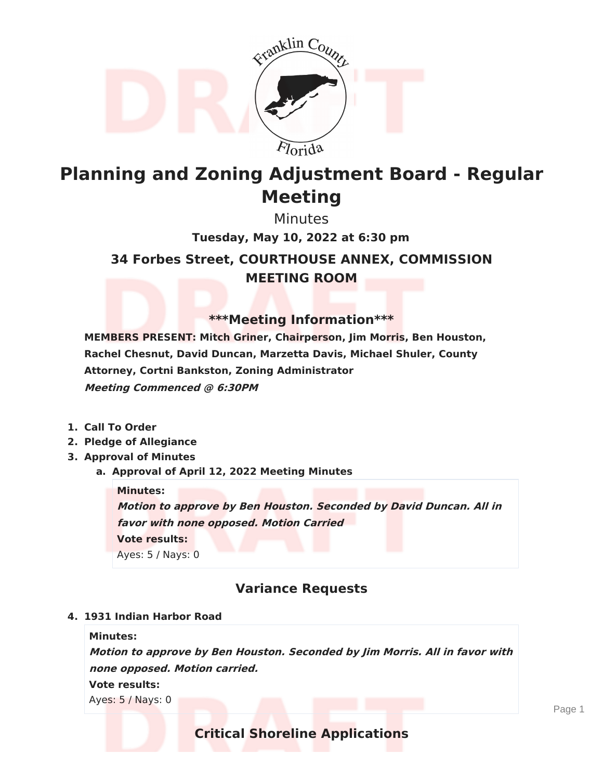

# **Planning and Zoning Adjustment Board - Regular Meeting**

Minutes

**34 Forbes Street, COURTHOUSE ANNEX, COMMISSION MEETING ROOM Tuesday, May 10, 2022 at 6:30 pm**

## **\*\*\*Meeting Information\*\*\***

**MEMBERS PRESENT: Mitch Griner, Chairperson, Jim Morris, Ben Houston, Rachel Chesnut, David Duncan, Marzetta Davis, Michael Shuler, County Attorney, Cortni Bankston, Zoning Administrator Meeting Commenced @ 6:30PM**

- **1. Call To Order**
- **2. Pledge of Allegiance**
- **3. Approval of Minutes**
	- **a. Approval of April 12, 2022 Meeting Minutes**

**Minutes:**

**Motion to approve by Ben Houston. Seconded by David Duncan. All in favor with none opposed. Motion Carried Vote results:**

Ayes: 5 / Nays: 0

# **Variance Requests**

### **4. 1931 Indian Harbor Road**

### **Minutes:**

**Motion to approve by Ben Houston. Seconded by Jim Morris. All in favor with none opposed. Motion carried. Vote results:**

Ayes: 5 / Nays: 0

# **Critical Shoreline Applications**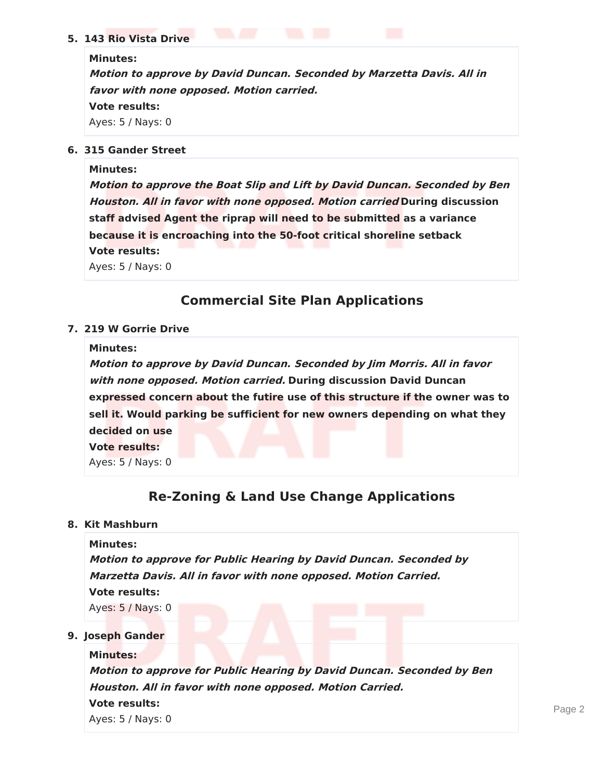### **5. 143 Rio Vista Drive**

#### **Minutes:**

**Motion to approve by David Duncan. Seconded by Marzetta Davis. All in favor with none opposed. Motion carried. Vote results:** Ayes: 5 / Nays: 0

### **6. 315 Gander Street**

### **Minutes:**

**Motion to approve the Boat Slip and Lift by David Duncan. Seconded by Ben Houston. All in favor with none opposed. Motion carried During discussion staff advised Agent the riprap will need to be submitted as a variance because it is encroaching into the 50-foot critical shoreline setback Vote results:**

Ayes: 5 / Nays: 0

# **Commercial Site Plan Applications**

### **7. 219 W Gorrie Drive**

#### **Minutes:**

**Motion to approve by David Duncan. Seconded by Jim Morris. All in favor with none opposed. Motion carried. During discussion David Duncan expressed concern about the futire use of this structure if the owner was to sell it. Would parking be sufficient for new owners depending on what they decided on use Vote results:**

Ayes: 5 / Nays: 0

# **Re-Zoning & Land Use Change Applications**

### **8. Kit Mashburn**

**Minutes: Motion to approve for Public Hearing by David Duncan. Seconded by Marzetta Davis. All in favor with none opposed. Motion Carried. Vote results:** Ayes: 5 / Nays: 0

### **9. Joseph Gander**

**Minutes: Motion to approve for Public Hearing by David Duncan. Seconded by Ben Houston. All in favor with none opposed. Motion Carried. Vote results:** Ayes: 5 / Nays: 0